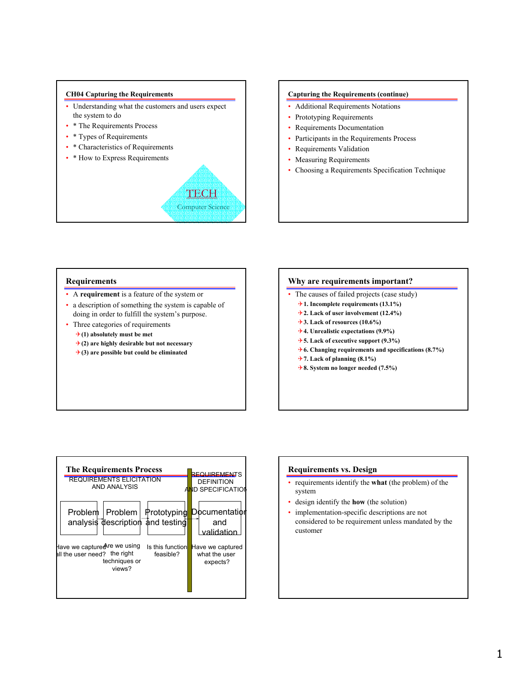#### **CH04 Capturing the Requirements**

- Understanding what the customers and users expect the system to do
- \* The Requirements Process
- \* Types of Requirements
- \* Characteristics of Requirements
- \* How to Express Requirements

# **TECH** Computer Science

#### **Capturing the Requirements (continue)**

- Additional Requirements Notations
- Prototyping Requirements
- Requirements Documentation
- Participants in the Requirements Process
- Requirements Validation
- Measuring Requirements
- Choosing a Requirements Specification Technique

## **Requirements**

- A **requirement** is a feature of the system or
- a description of something the system is capable of doing in order to fulfill the system's purpose.
- Three categories of requirements 4**(1) absolutely must be met**
	- 4**(2) are highly desirable but not necessary**
	- 4**(3) are possible but could be eliminated**

### **Why are requirements important?**

- The causes of failed projects (case study)
	- 4**1. Incomplete requirements (13.1%)**
	- 4**2. Lack of user involvement (12.4%)**
	- 4**3. Lack of resources (10.6%)**
	- 4**4. Unrealistic expectations (9.9%)**
	- 4**5. Lack of executive support (9.3%)**
	- 4**6. Changing requirements and specifications (8.7%)**
	- 4**7. Lack of planning (8.1%)**
	- 4**8. System no longer needed (7.5%)**



## **Requirements vs. Design**

- requirements identify the **what** (the problem) of the system
- design identify the **how** (the solution)
- implementation-specific descriptions are not considered to be requirement unless mandated by the customer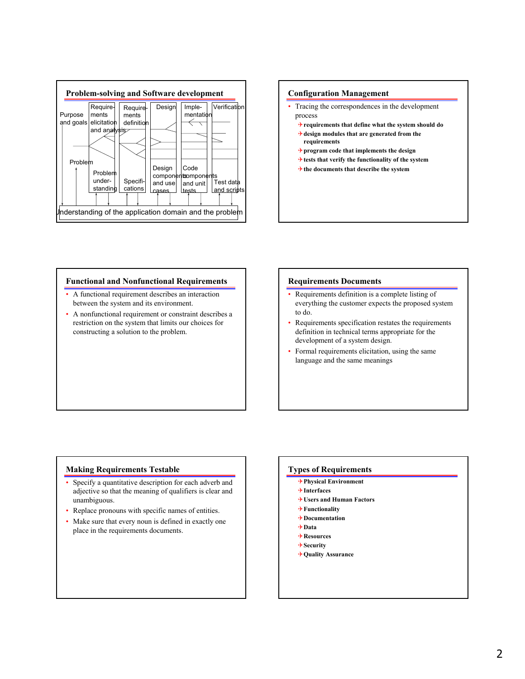

## **Configuration Management**

- Tracing the correspondences in the development process
	- 4**requirements that define what the system should do**
	- 4**design modules that are generated from the requirements**
	- 4**program code that implements the design**
	- 4**tests that verify the functionality of the system**
	- 4**the documents that describe the system**

#### **Functional and Nonfunctional Requirements**

- A functional requirement describes an interaction between the system and its environment.
- A nonfunctional requirement or constraint describes a restriction on the system that limits our choices for constructing a solution to the problem.

## **Requirements Documents**

- Requirements definition is a complete listing of everything the customer expects the proposed system to do.
- Requirements specification restates the requirements definition in technical terms appropriate for the development of a system design.
- Formal requirements elicitation, using the same language and the same meanings

## **Making Requirements Testable**

- Specify a quantitative description for each adverb and adjective so that the meaning of qualifiers is clear and unambiguous.
- Replace pronouns with specific names of entities.
- Make sure that every noun is defined in exactly one place in the requirements documents.

#### **Types of Requirements**

- 4**Physical Environment**
- 4**Interfaces**
- 4**Users and Human Factors**
- 4**Functionality**
- 4**Documentation**
- 4**Data**
- 4**Resources**
- 4**Security**
- 4**Quality Assurance**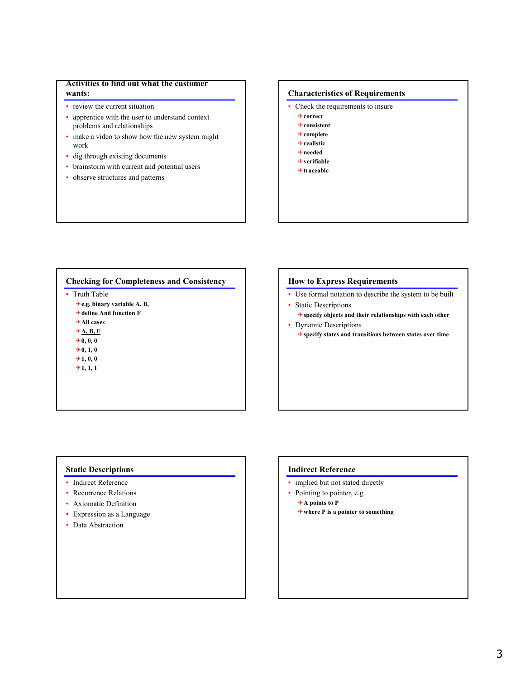## **Activities to find out what the customer wants:**

- review the current situation
- apprentice with the user to understand context problems and relationships
- make a video to show how the new system might work
- dig through existing documents
- brainstorm with current and potential users
- observe structures and patterns

## **Characteristics of Requirements**

- Check the requirements to insure
	- 4**correct**
	- 4**consistent** 4**complete**
	- 4**realistic**
	- 4**needed**
	- 4**verifiable**
	- 4**traceable**

## **Checking for Completeness and Consistency**

• Truth Table

4**e.g. binary variable A, B,** 4**define And function F** 4**All cases** 4**A, B, F**  $+0, 0, 0$  $+0, 1, 0$  $+1, 0, 0$  $+1, 1, 1$ 

## **How to Express Requirements**

- Use formal notation to describe the system to be built
- Static Descriptions
- 4**specify objects and their relationships with each other** • Dynamic Descriptions
	- 4**specify states and transitions between states over time**

# **Static Descriptions**

- Indirect Reference
- Recurrence Relations
- Axiomatic Definition
- Expression as a Language
- Data Abstraction

## **Indirect Reference**

- implied but not stated directly
- Pointing to pointer, e.g.
	- 4**A points to P**
	- 4**where P is a pointer to something**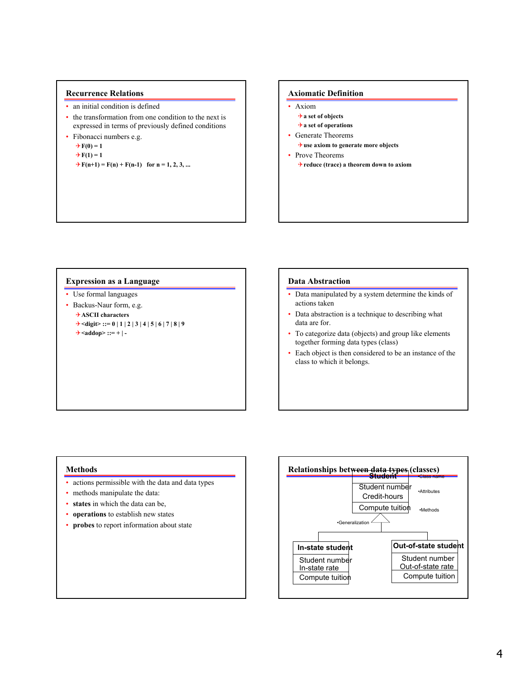## **Recurrence Relations**

- an initial condition is defined
- the transformation from one condition to the next is expressed in terms of previously defined conditions
- Fibonacci numbers e.g.

 $+ F(0) = 1$  $+ F(1) = 1$  $\rightarrow$  F(n+1) = F(n) + F(n-1) for n = 1, 2, 3, ...

## **Axiomatic Definition**

- Axiom 4**a set of objects**
	- 4**a set of operations**
- Generate Theorems
- 4**use axiom to generate more objects**
- Prove Theorems 4**reduce (trace) a theorem down to axiom**

## **Expression as a Language**

- Use formal languages
- Backus-Naur form, e.g. 4**ASCII characters**  $\rightarrow$  <digit> ::= 0 | 1 | 2 | 3 | 4 | 5 | 6 | 7 | 8 | 9
	- 4**<addop> ::= + | -**

#### **Data Abstraction**

- Data manipulated by a system determine the kinds of actions taken
- Data abstraction is a technique to describing what data are for.
- To categorize data (objects) and group like elements together forming data types (class)
- Each object is then considered to be an instance of the class to which it belongs.

#### **Methods**

- actions permissible with the data and data types
- methods manipulate the data:
- **states** in which the data can be,
- **operations** to establish new states
- **probes** to report information about state

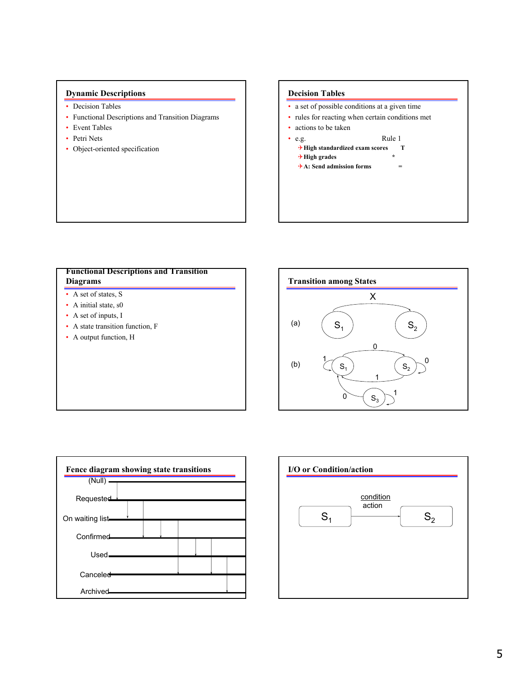# **Dynamic Descriptions**

- Decision Tables
- Functional Descriptions and Transition Diagrams
- Event Tables
- Petri Nets
- Object-oriented specification

# **Decision Tables**

- a set of possible conditions at a given time
- rules for reacting when certain conditions met
- actions to be taken
- e.g. Rule 1
	- 4**High standardized exam scores T**
	- 4**High grades \***
	- 4**A: Send admission forms =**

# **Functional Descriptions and Transition Diagrams**

- A set of states, S
- A initial state, s0
- A set of inputs, I
- A state transition function, F
- A output function, H





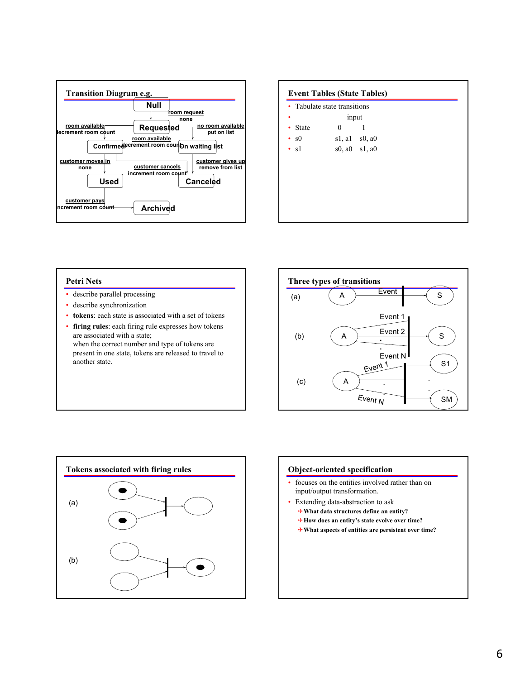

|                | Tabulate state transitions |                         |  |
|----------------|----------------------------|-------------------------|--|
|                | input                      |                         |  |
| <b>State</b>   | 0                          |                         |  |
| s <sub>0</sub> | sl, al                     | $s0$ , a $0$            |  |
| $\cdot$ s1     |                            | $s0$ , $a0$ $s1$ , $a0$ |  |
|                |                            |                         |  |
|                |                            |                         |  |
|                |                            |                         |  |
|                |                            |                         |  |
|                |                            |                         |  |

## **Petri Nets**

- describe parallel processing
- describe synchronization
- **tokens**: each state is associated with a set of tokens
- **firing rules**: each firing rule expresses how tokens are associated with a state; when the correct number and type of tokens are present in one state, tokens are released to travel to another state.





## **Object-oriented specification**

- focuses on the entities involved rather than on input/output transformation.
- Extending data-abstraction to ask
	- 4**What data structures define an entity?**
	- 4**How does an entity's state evolve over time?**
	- 4**What aspects of entities are persistent over time?**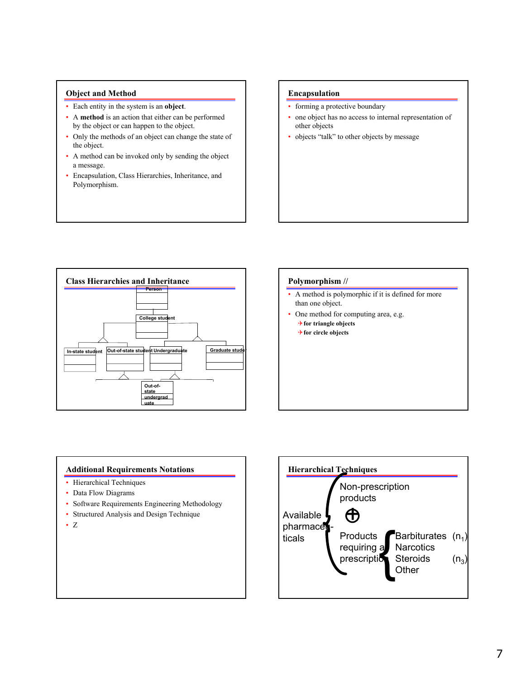# **Object and Method**

- Each entity in the system is an **object**.
- A **method** is an action that either can be performed by the object or can happen to the object.
- Only the methods of an object can change the state of the object.
- A method can be invoked only by sending the object a message.
- Encapsulation, Class Hierarchies, Inheritance, and Polymorphism.

## **Encapsulation**

- forming a protective boundary
- one object has no access to internal representation of other objects
- objects "talk" to other objects by message



# **Polymorphism //**

- A method is polymorphic if it is defined for more than one object.
- One method for computing area, e.g.
	- 4**for triangle objects**
	- 4**for circle objects**

# **Additional Requirements Notations**

- Hierarchical Techniques
- Data Flow Diagrams
- Software Requirements Engineering Methodology
- Structured Analysis and Design Technique
- Z

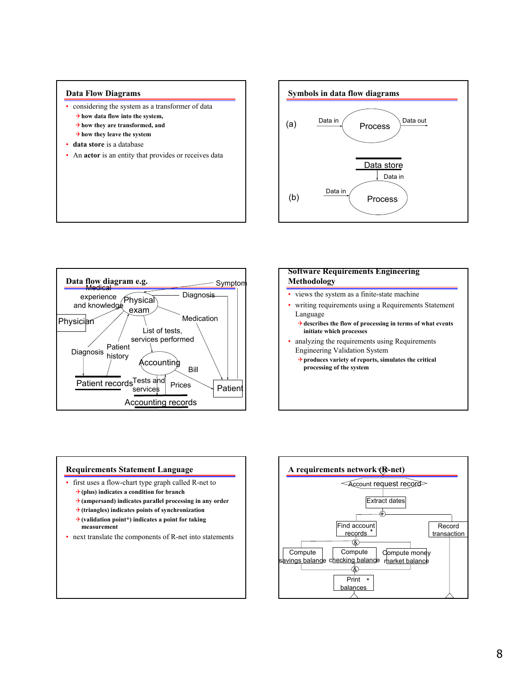





# **Software Requirements Engineering Methodology**

- views the system as a finite-state machine
- writing requirements using a Requirements Statement Language
	- 4**describes the flow of processing in terms of what events initiate which processes**
- analyzing the requirements using Requirements Engineering Validation System
	- 4**produces variety of reports, simulates the critical processing of the system**



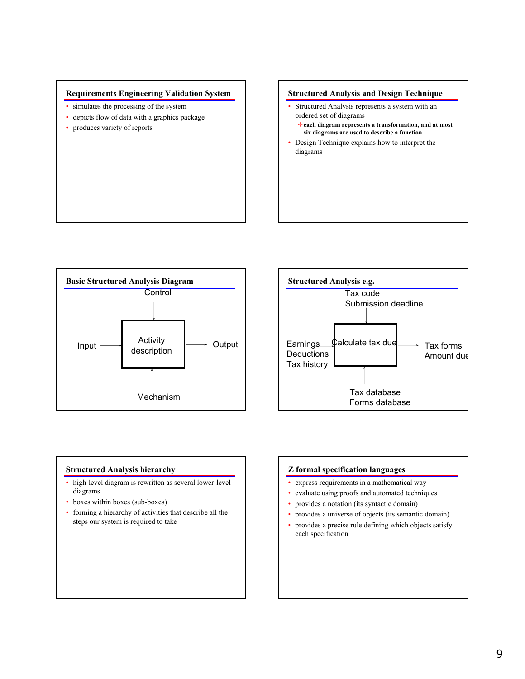

- simulates the processing of the system
- depicts flow of data with a graphics package
- produces variety of reports

## **Structured Analysis and Design Technique**

- Structured Analysis represents a system with an ordered set of diagrams
	- 4**each diagram represents a transformation, and at most six diagrams are used to describe a function**
- Design Technique explains how to interpret the diagrams





# **Structured Analysis hierarchy**

- high-level diagram is rewritten as several lower-level diagrams
- boxes within boxes (sub-boxes)
- forming a hierarchy of activities that describe all the steps our system is required to take

# **Z formal specification languages**

- express requirements in a mathematical way
- evaluate using proofs and automated techniques
- provides a notation (its syntactic domain)
- provides a universe of objects (its semantic domain)
- provides a precise rule defining which objects satisfy each specification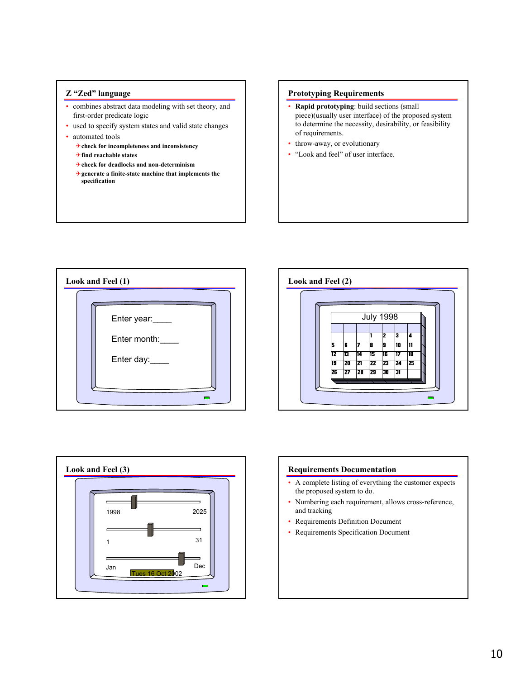## **Z "Zed" language**

- combines abstract data modeling with set theory, and first-order predicate logic
- used to specify system states and valid state changes
- automated tools
	- 4**check for incompleteness and inconsistency**
	- 4**find reachable states**
	- 4**check for deadlocks and non-determinism**
	- 4**generate a finite-state machine that implements the specification**

# **Prototyping Requirements**

- **Rapid prototyping**: build sections (small piece)(usually user interface) of the proposed system to determine the necessity, desirability, or feasibility of requirements.
- throw-away, or evolutionary
- "Look and feel" of user interface.







## **Requirements Documentation**

- A complete listing of everything the customer expects the proposed system to do.
- Numbering each requirement, allows cross-reference, and tracking
- Requirements Definition Document
- Requirements Specification Document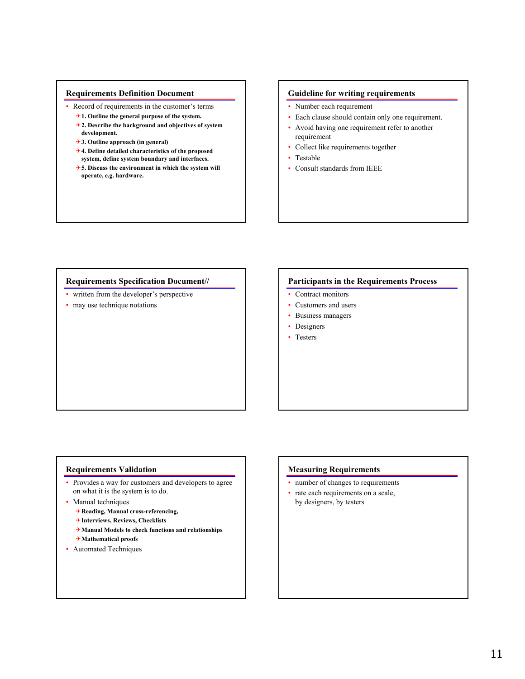## **Requirements Definition Document**

- Record of requirements in the customer's terms
	- 4**1. Outline the general purpose of the system.**
	- 4**2. Describe the background and objectives of system development.**
	- 4**3. Outline approach (in general)**
	- 4**4. Define detailed characteristics of the proposed system, define system boundary and interfaces.**
	- 4**5. Discuss the environment in which the system will operate, e.g. hardware.**

## **Guideline for writing requirements**

- Number each requirement
- Each clause should contain only one requirement.
- Avoid having one requirement refer to another requirement
- Collect like requirements together
- Testable
- Consult standards from IEEE

## **Requirements Specification Document//**

- written from the developer's perspective
- may use technique notations

## **Participants in the Requirements Process**

- Contract monitors
- Customers and users
- Business managers
- Designers
- Testers

## **Requirements Validation**

- Provides a way for customers and developers to agree on what it is the system is to do.
- Manual techniques
	- 4**Reading, Manual cross-referencing,**
	- 4**Interviews, Reviews, Checklists**
	- 4**Manual Models to check functions and relationships**
	- 4**Mathematical proofs**
- Automated Techniques

## **Measuring Requirements**

- number of changes to requirements
- rate each requirements on a scale, by designers, by testers